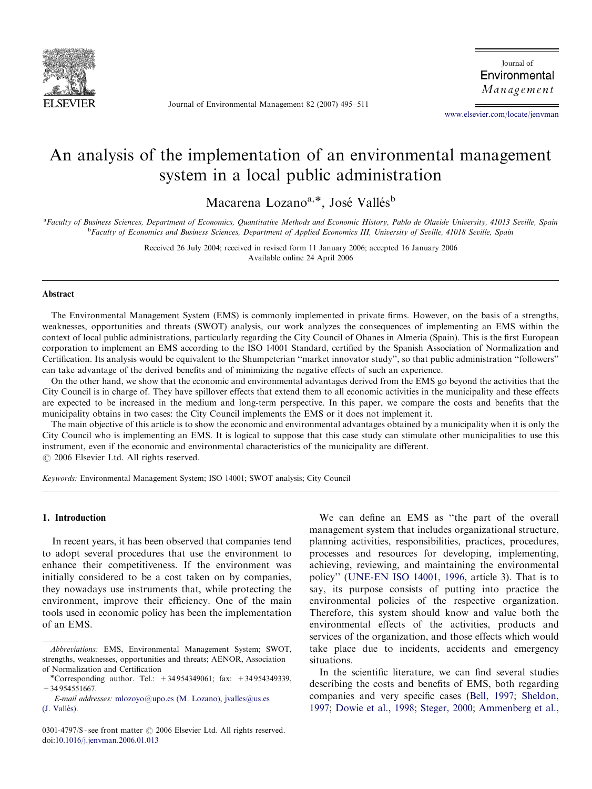

Journal of Environmental Management 82 (2007) 495–511

Journal of Environmental Management

<www.elsevier.com/locate/jenvman>

## An analysis of the implementation of an environmental management system in a local public administration

Macarena Lozano<sup>a,\*</sup>, José Vallés<sup>b</sup>

<sup>a</sup> Faculty of Business Sciences, Department of Economics, Quantitative Methods and Economic History, Pablo de Olavide University, 41013 Seville, Spain **bFaculty of Economics and Business Sciences, Department of Applied Economics III, University of Seville, 41018 Seville, Spain** 

> Received 26 July 2004; received in revised form 11 January 2006; accepted 16 January 2006 Available online 24 April 2006

## Abstract

The Environmental Management System (EMS) is commonly implemented in private firms. However, on the basis of a strengths, weaknesses, opportunities and threats (SWOT) analysis, our work analyzes the consequences of implementing an EMS within the context of local public administrations, particularly regarding the City Council of Ohanes in Almería (Spain). This is the first European corporation to implement an EMS according to the ISO 14001 Standard, certified by the Spanish Association of Normalization and Certification. Its analysis would be equivalent to the Shumpeterian ''market innovator study'', so that public administration ''followers'' can take advantage of the derived benefits and of minimizing the negative effects of such an experience.

On the other hand, we show that the economic and environmental advantages derived from the EMS go beyond the activities that the City Council is in charge of. They have spillover effects that extend them to all economic activities in the municipality and these effects are expected to be increased in the medium and long-term perspective. In this paper, we compare the costs and benefits that the municipality obtains in two cases: the City Council implements the EMS or it does not implement it.

The main objective of this article is to show the economic and environmental advantages obtained by a municipality when it is only the City Council who is implementing an EMS. It is logical to suppose that this case study can stimulate other municipalities to use this instrument, even if the economic and environmental characteristics of the municipality are different.  $\odot$  2006 Elsevier Ltd. All rights reserved.

Keywords: Environmental Management System; ISO 14001; SWOT analysis; City Council

## 1. Introduction

In recent years, it has been observed that companies tend to adopt several procedures that use the environment to enhance their competitiveness. If the environment was initially considered to be a cost taken on by companies, they nowadays use instruments that, while protecting the environment, improve their efficiency. One of the main tools used in economic policy has been the implementation of an EMS.

We can define an EMS as ''the part of the overall management system that includes organizational structure, planning activities, responsibilities, practices, procedures, processes and resources for developing, implementing, achieving, reviewing, and maintaining the environmental policy'' ([UNE-EN ISO 14001, 1996](#page--1-0), article 3). That is to say, its purpose consists of putting into practice the environmental policies of the respective organization. Therefore, this system should know and value both the environmental effects of the activities, products and services of the organization, and those effects which would take place due to incidents, accidents and emergency situations.

In the scientific literature, we can find several studies describing the costs and benefits of EMS, both regarding companies and very specific cases ([Bell, 1997](#page--1-0); [Sheldon,](#page--1-0) [1997](#page--1-0); [Dowie et al., 1998;](#page--1-0) [Steger, 2000;](#page--1-0) [Ammenberg et al.,](#page--1-0)

Abbreviations: EMS, Environmental Management System; SWOT, strengths, weaknesses, opportunities and threats; AENOR, Association of Normalization and Certification

<sup>\*</sup>Corresponding author. Tel.:  $+34954349061$ ; fax:  $+34954349339$ , +34 954551667.

E-mail addresses: [mlozoyo@upo.es \(M. Lozano\),](mailto:jvalles@us.es) jvalles@us.es (J. Vallés).

<sup>0301-4797/\$ -</sup> see front matter  $\odot$  2006 Elsevier Ltd. All rights reserved. doi:[10.1016/j.jenvman.2006.01.013](dx.doi.org/10.1016/j.jenvman.2006.01.013)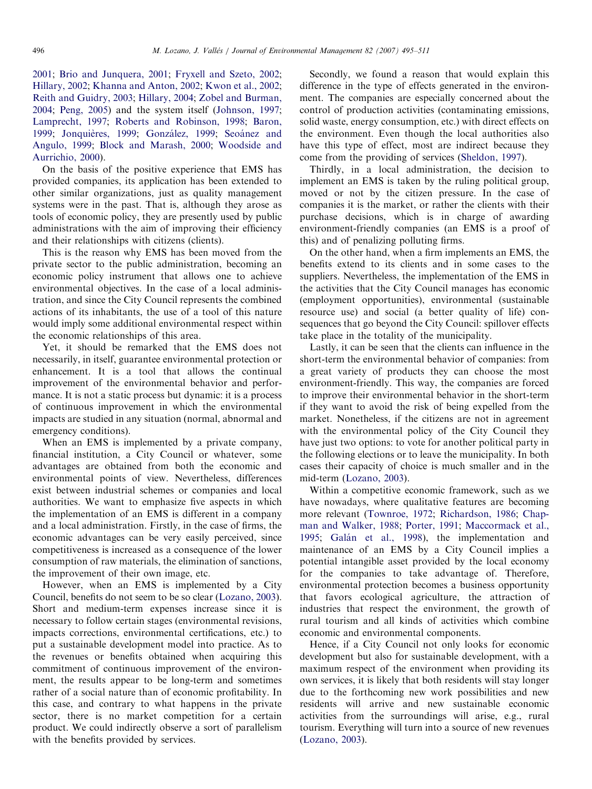[2001;](#page--1-0) [Brio and Junquera, 2001](#page--1-0); [Fryxell and Szeto, 2002](#page--1-0); [Hillary, 2002;](#page--1-0) [Khanna and Anton, 2002](#page--1-0); [Kwon et al., 2002](#page--1-0); [Reith and Guidry, 2003;](#page--1-0) [Hillary, 2004;](#page--1-0) [Zobel and Burman,](#page--1-0) [2004;](#page--1-0) [Peng, 2005\)](#page--1-0) and the system itself ([Johnson, 1997](#page--1-0); [Lamprecht, 1997;](#page--1-0) [Roberts and Robinson, 1998](#page--1-0); [Baron,](#page--1-0) [1999;](#page--1-0) Jonquières, 1999; González, 1999; Seoánez and [Angulo, 1999](#page--1-0); [Block and Marash, 2000;](#page--1-0) [Woodside and](#page--1-0) [Aurrichio, 2000](#page--1-0)).

On the basis of the positive experience that EMS has provided companies, its application has been extended to other similar organizations, just as quality management systems were in the past. That is, although they arose as tools of economic policy, they are presently used by public administrations with the aim of improving their efficiency and their relationships with citizens (clients).

This is the reason why EMS has been moved from the private sector to the public administration, becoming an economic policy instrument that allows one to achieve environmental objectives. In the case of a local administration, and since the City Council represents the combined actions of its inhabitants, the use of a tool of this nature would imply some additional environmental respect within the economic relationships of this area.

Yet, it should be remarked that the EMS does not necessarily, in itself, guarantee environmental protection or enhancement. It is a tool that allows the continual improvement of the environmental behavior and performance. It is not a static process but dynamic: it is a process of continuous improvement in which the environmental impacts are studied in any situation (normal, abnormal and emergency conditions).

When an EMS is implemented by a private company, financial institution, a City Council or whatever, some advantages are obtained from both the economic and environmental points of view. Nevertheless, differences exist between industrial schemes or companies and local authorities. We want to emphasize five aspects in which the implementation of an EMS is different in a company and a local administration. Firstly, in the case of firms, the economic advantages can be very easily perceived, since competitiveness is increased as a consequence of the lower consumption of raw materials, the elimination of sanctions, the improvement of their own image, etc.

However, when an EMS is implemented by a City Council, benefits do not seem to be so clear [\(Lozano, 2003\)](#page--1-0). Short and medium-term expenses increase since it is necessary to follow certain stages (environmental revisions, impacts corrections, environmental certifications, etc.) to put a sustainable development model into practice. As to the revenues or benefits obtained when acquiring this commitment of continuous improvement of the environment, the results appear to be long-term and sometimes rather of a social nature than of economic profitability. In this case, and contrary to what happens in the private sector, there is no market competition for a certain product. We could indirectly observe a sort of parallelism with the benefits provided by services.

Secondly, we found a reason that would explain this difference in the type of effects generated in the environment. The companies are especially concerned about the control of production activities (contaminating emissions, solid waste, energy consumption, etc.) with direct effects on the environment. Even though the local authorities also have this type of effect, most are indirect because they come from the providing of services ([Sheldon, 1997\)](#page--1-0).

Thirdly, in a local administration, the decision to implement an EMS is taken by the ruling political group, moved or not by the citizen pressure. In the case of companies it is the market, or rather the clients with their purchase decisions, which is in charge of awarding environment-friendly companies (an EMS is a proof of this) and of penalizing polluting firms.

On the other hand, when a firm implements an EMS, the benefits extend to its clients and in some cases to the suppliers. Nevertheless, the implementation of the EMS in the activities that the City Council manages has economic (employment opportunities), environmental (sustainable resource use) and social (a better quality of life) consequences that go beyond the City Council: spillover effects take place in the totality of the municipality.

Lastly, it can be seen that the clients can influence in the short-term the environmental behavior of companies: from a great variety of products they can choose the most environment-friendly. This way, the companies are forced to improve their environmental behavior in the short-term if they want to avoid the risk of being expelled from the market. Nonetheless, if the citizens are not in agreement with the environmental policy of the City Council they have just two options: to vote for another political party in the following elections or to leave the municipality. In both cases their capacity of choice is much smaller and in the mid-term ([Lozano, 2003](#page--1-0)).

Within a competitive economic framework, such as we have nowadays, where qualitative features are becoming more relevant ([Townroe, 1972;](#page--1-0) [Richardson, 1986](#page--1-0); [Chap](#page--1-0)[man and Walker, 1988;](#page--1-0) [Porter, 1991;](#page--1-0) [Maccormack et al.,](#page--1-0) [1995;](#page--1-0) Galán et al., 1998), the implementation and maintenance of an EMS by a City Council implies a potential intangible asset provided by the local economy for the companies to take advantage of. Therefore, environmental protection becomes a business opportunity that favors ecological agriculture, the attraction of industries that respect the environment, the growth of rural tourism and all kinds of activities which combine economic and environmental components.

Hence, if a City Council not only looks for economic development but also for sustainable development, with a maximum respect of the environment when providing its own services, it is likely that both residents will stay longer due to the forthcoming new work possibilities and new residents will arrive and new sustainable economic activities from the surroundings will arise, e.g., rural tourism. Everything will turn into a source of new revenues [\(Lozano, 2003\)](#page--1-0).